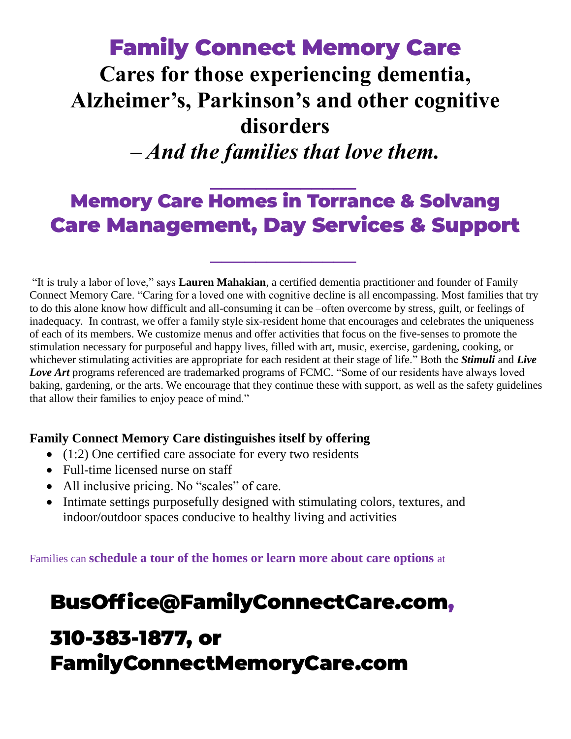### Family Connect Memory Care **Cares for those experiencing dementia, Alzheimer's, Parkinson's and other cognitive disorders**  *– And the families that love them.*

#### *\_\_\_\_\_\_\_\_\_\_\_\_\_* Memory Care Homes in Torrance & Solvang Care Management, Day Services & Support

*\_\_\_\_\_\_\_\_\_\_\_\_\_*

"It is truly a labor of love," says **Lauren Mahakian**, a certified dementia practitioner and founder of Family Connect Memory Care. "Caring for a loved one with cognitive decline is all encompassing. Most families that try to do this alone know how difficult and all-consuming it can be –often overcome by stress, guilt, or feelings of inadequacy. In contrast, we offer a family style six-resident home that encourages and celebrates the uniqueness of each of its members. We customize menus and offer activities that focus on the five-senses to promote the stimulation necessary for purposeful and happy lives, filled with art, music, exercise, gardening, cooking, or whichever stimulating activities are appropriate for each resident at their stage of life." Both the *Stimuli* and *Live Love Art* programs referenced are trademarked programs of FCMC. "Some of our residents have always loved baking, gardening, or the arts. We encourage that they continue these with support, as well as the safety guidelines that allow their families to enjoy peace of mind."

#### **Family Connect Memory Care distinguishes itself by offering**

- (1:2) One certified care associate for every two residents
- Full-time licensed nurse on staff
- All inclusive pricing. No "scales" of care.
- Intimate settings purposefully designed with stimulating colors, textures, and indoor/outdoor spaces conducive to healthy living and activities

Families can **schedule a tour of the homes or learn more about care options** at

#### [BusOffice@FamilyConnectCare.com,](mailto:BusOffice@FamilyConnectCare.com)

### 310-383-1877, or FamilyConnectMemoryCare.com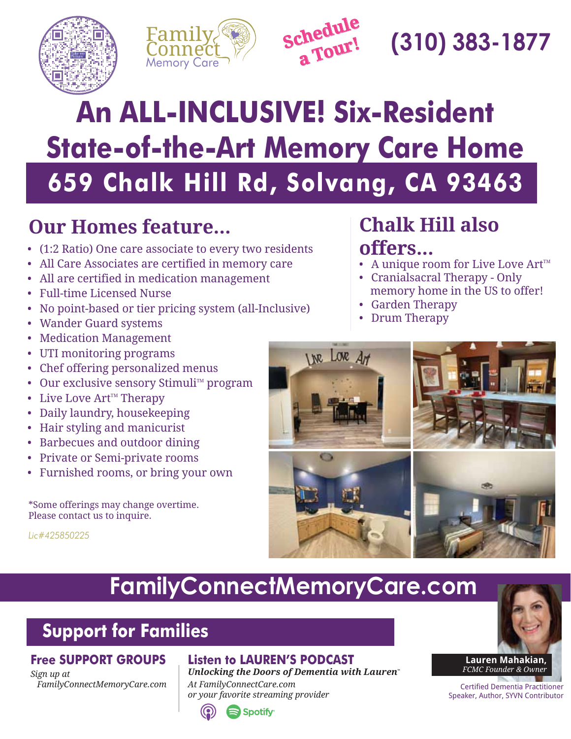





# Connect **(310) 383-1877**

# **659 Chalk Hill Rd, Solvang, CA 93463 An ALL-INCLUSIVE! Six-Resident State-of-the-Art Memory Care Home**

#### **Our Homes feature...**

- (1:2 Ratio) One care associate to every two residents
- All Care Associates are certified in memory care
- All are certified in medication management
- Full-time Licensed Nurse
- No point-based or tier pricing system (all-Inclusive)
- Wander Guard systems
- Medication Management
- UTI monitoring programs
- Chef offering personalized menus
- Our exclusive sensory Stimuli<sup> $M$ </sup> program
- Live Love  $Art^{\mathbb{M}}$  Therapy
- Daily laundry, housekeeping
- Hair styling and manicurist
- Barbecues and outdoor dining
- Private or Semi-private rooms
- Furnished rooms, or bring your own

\*Some offerings may change overtime. Please contact us to inquire.

*Lic#425850225*

### **Chalk Hill also offers...**

- A unique room for Live Love  $Art^{\mathbb{M}}$
- Cranialsacral Therapy Only memory home in the US to offer!
- Garden Therapy
- Drum Therapy



### **FamilyConnectMemoryCare.com**

#### **Support for Families**

#### **Free SUPPORT GROUPS**

*Sign up at FamilyConnectMemoryCare.com*

#### **Listen to LAUREN'S PODCAST**

*Unlocking the Doors of Dementia with Lauren At FamilyConnectCare.com or your favorite streaming provider*





Certified Dementia Practitioner Speaker, Author, SYVN Contributor